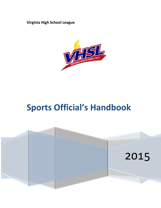**Virginia High School League**



# **Sports Official's Handbook**

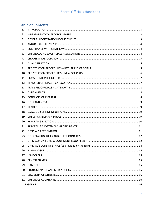# **Table of Contents**

| 1.  |  |
|-----|--|
| 2.  |  |
| 3.  |  |
| 4.  |  |
| 5.  |  |
| 6.  |  |
| 7.  |  |
| 8.  |  |
| 9.  |  |
| 10. |  |
| 11. |  |
| 12. |  |
| 13. |  |
|     |  |
|     |  |
| 16. |  |
| 17. |  |
| 18. |  |
|     |  |
| 20. |  |
|     |  |
|     |  |
|     |  |
|     |  |
|     |  |
|     |  |
|     |  |
|     |  |
|     |  |
|     |  |
|     |  |
|     |  |
|     |  |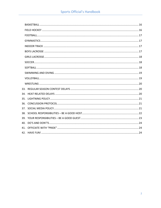| 34. |  |  |  |
|-----|--|--|--|
|     |  |  |  |
|     |  |  |  |
|     |  |  |  |
|     |  |  |  |
|     |  |  |  |
|     |  |  |  |
|     |  |  |  |
|     |  |  |  |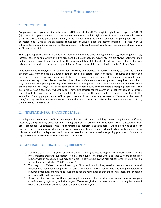## <span id="page-3-0"></span>1. INTRODUCTION

Congratulations on your decision to become a VHSL contest official! The Virginia High School League is a 501 (C) (3) non-profit organization which has as its members the 313 public high schools in the Commonwealth. More than 200,000 students participate annually in 29 athletic and 6 academic activities competing for 155 state championships. Officials are an integral component of VHSL athletic and activity programs. In fact, without officials, there would be no programs. This guidebook is intended to assist you through the process of becoming a VHSL contest official.

The League registers officials in baseball, basketball, competitive cheerleading, field hockey, football, gymnastics, lacrosse, soccer, softball, swim and dive, track and field, volleyball, and wrestling. We are always looking for men and women who wish to join the ranks of the approximately 7,500 officials already in service. Registration is a privilege, and as such, it comes with responsibilities. Those responsibilities are detailed in this Official's Guide.

Officiating is not for everyone. It requires hours of study and practice. It requires an ability to "see" the game a different way, from an official's viewpoint rather than as a spectator, player or coach. It requires dedication and discipline. It requires people management skills. It requires good judgment. It requires the ability to read, understand and apply the rules as intended. It requires confidence without arrogance. It requires the ability to stay calm while other participants may be very emotional. It requires physical fitness and mental toughness. Good officials make it look easy! But, every good official has spent hours, days and years developing their craft. The best officials have a passion for what they do. They don't officiate for the power or so that they can be in control, they officiate because they love it, they want to stay involved in the sport, and they want to contribute to the education of young people. As an official, you have a unique opportunity to make a difference in the lives of today's young people – tomorrow's leaders. If you think you have what it takes to become a VHSL contest official, then welcome – and read on!

## <span id="page-3-1"></span>2. INDEPENDENT CONTRACTOR STATUS

As independent contractors, officials are responsible for their own scheduling, personal equipment, uniforms, insurance, transportation, education and training expenses associated with officiating. VHSL registered officials are "Independent Contractors" who are contracted to perform a specific task. Officials are not eligible for unemployment compensation, disability or worker's compensation benefits. Each contracting entity should review this matter with its local legal counsel in order to make its own determination regarding practices to follow with regard to officials who serve as its independent contractors.

# <span id="page-3-2"></span>3. GENERAL REGISTRATION REQUIREMENTS

- A. You must be at least 18 years of age or a high school graduate to register to officiate contests in the interscholastic program. (Exception: A high school junior or senior who is at least 16 years of age may register with an association, but may only officiate contests below the high school level. The registration fee for these individuals is \$15.00 per sport.)
- B. You may not officiate contests involving VHSL schools until all registration procedures and annual requirements have been completed. An official who works a VHSL contest without having completed all required procedures may be fined, suspended for the remainder of that officiating season and/or denied registration the following year(s).
- C. If you are inactive due to illness, job requirements or other similar reasons you may retain your classification by registering with the League office (through the local association) and passing the required exam. The maximum time you retain this privilege is one year.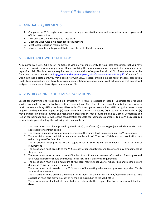## <span id="page-4-0"></span>4. ANNUAL REQUIREMENTS

- A. Complete the VHSL registration process, paying all registration fees and association dues to your local officials' association.
- B. Take and pass the VHSL required rules exam.
- C. Meet the VHSL rules clinic attendance requirement.
- D. Meet local association requirements.
- E. Make a commitment to yourself to become the best official you can be.

## <span id="page-4-1"></span>5. COMPLIANCE WITH STATE LAW

As required by § 22.1-296.1(C) of The Code of Virginia, you must certify to your local association that you have never been convicted of a felony or any offense involving the sexual molestation or physical or sexual abuse or rape of a child. This is an annual requirement and a condition of registration with VHSL. A sample form can be found on the VHSL website at [http://www.vhsl.org/doc/upload/adm-felony-conviction-form.pdf.](http://www.vhsl.org/doc/upload/adm-felony-conviction-form.pdf) If you can't or won't sign such a statement, you may not register with VHSL. Records must be maintained at the local association level. Local associations may have to provide documentation to schools under contract verifying that any official assigned to work games has a signed statement on file.

# <span id="page-4-2"></span>6. VHSL RECOGNIZED OFFICIALS ASSOCIATIONS

Except for swimming and track and field, officiating in Virginia is association based. Contracts for officiating services are made between schools and officials associations. Therefore, it is necessary for individuals who wish to work contests involving VHSL schools to affiliate with a VHSL recognized association. VHSL recognized associations in good standing with the League are (1) listed annually in the VHSL Directory; (2) listed on the VHSL website; (3) may participate in officials' awards and recognition programs; (4) may provide officials to District, Conference and Region tournaments; and (5) will receive consideration for State tournament assignments. To be a VHSL recognized association in good standing, the following criteria must be met:

- A. The association must be approved by the district(s), conference(s) and region(s) in which it works. This approval is for contract period.
- B. The association must provide officiating services at the varsity level to a minimum of six VHSL schools.
- C. The association must maintain a minimum membership of 20 active officials whose classifications are either "approved" or "certified."
- D. The association must provide to the League office a list of its current members. This is an annual requirement.
- E. The association must provide to the VHSL a copy of its Constitution and Bylaws and any amendments as they are made.
- F. The association must provide to the VHSL a list of its officers with contact information. The assigner and local rules interpreter should be included in this list. This is an annual requirement.
- G. The association must hold a minimum of four local meetings per year at which rules and mechanics are discussed. This is an annual requirement.
- H. The association must provide to the VHSL a copy of its meeting schedule and proposed agendas. This is an annual requirement.
- I. The association must provide a minimum of 10 hours of training for all new/beginning officials. The association must also provide a copy of its training curriculum to the VHSL office.
- J. The association must submit all requested reports/forms to the League office by the announced deadline dates.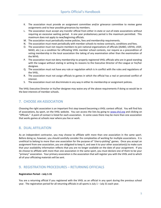- K. The association must provide an assignment committee and/or grievance committee to review game assignments and to hear possible grievances by members.
- L. The association must accept any transfer official from either in-state or out-of-state associations without requiring an excessive waiting period. A one year probationary period is the maximum permitted. This maximum does not apply to new/beginning officials.
- M. The association must periodically review policies, fees and membership requirements.
- N. The association must meet periodically with member schools to review contracts, conditions and fees.
- O. The association must not require members to join national organizations of officials (IAABO, USFHA, USSF, NASO, etc.) as a condition for officiating VHSL member school contests, nor require as a precondition of voting membership in the local association the taking of any examination other than the examination of the NFHS.
- P. The association must not deny membership to properly registered VHSL officials who are in good standing with the League without stating in writing its reasons to the Executive Director of the League or his/her designee.
- Q. The association must not have any rule or regulation which is in conflict with the rules and regulations of the VHSL.
- R. The association must not assign officials to games in which the official has a real or perceived conflict of interest.
- S. The association must not discriminate in any way in either its membership or assignment policies.

The VHSL Executive Director or his/her designee may waive any of the above requirements if doing so would be in the best interests of member schools.

## <span id="page-5-0"></span>7. CHOOSE AN ASSOCIATION

Choosing the right association is an important first step toward becoming a VHSL contest official. You will find lists of associations, by sport, on the VHSL website. You can access the lists by going to [www.vhsl.org](http://www.vhsl.org/) and clicking on "Officials." A point of contact is listed for each association. In some cases there may be more than one association that works games at schools near where you live or work.

## <span id="page-5-1"></span>8. DUAL AFFILIATION

As an independent contractor, you may choose to affiliate with more than one association in the same sport. Before doing so, however, you should carefully consider the complexities of working for multiple associations. It is unethical to belong to more than one association for the purpose of "cherry-picking" games. Once you accept an assignment from one association, you are obligated to keep it, and owe it to your other association(s) to make sure that your availability information reflects that you are no longer available on the date of your assignment. If you do choose to affiliate with more than one association in the same sport, you must declare one of them to be your "primary" association. Your primary association is the association that will register you with the VHSL and to which all of your officiating materials will be sent.

## <span id="page-5-2"></span>9. REGISTRATION PROCEDURES – RETURNING OFFICIALS

#### **Registration Period – July 1-31**

You are a returning official if you registered with the VHSL as an official in any sport during the previous school year. The registration period for all returning officials in all sports is July 1 – July 31 each year.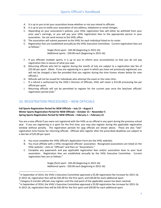- A. It is up to you to let your association know whether or not you intend to officiate
- B. It is up to you to notify your association of any address, telephone or email changes.
- C. Depending on your association's policies, your VHSL registration fees will either be withheld from your prior year's earnings, or you will pay your VHSL registration fees to the appropriate person in your association. Do not send money to the VHSL office.
- D. The association will submit payment to the VHSL for each individual listed on its roster.
- E. Registration fees are established annually by the VHSL Executive Committee. Current registration fees are as follows: $<sup>1</sup>$ </sup>

Single (first) sport - \$45.00 (beginning in 2015-16) Additional sports - \$30.00 each (beginning in 2015-16)

- F. If you officiate multiple sports, it is up to you to inform your association(s) so that you do not pay registration fees in excess of what you owe.
- G. Returning officials who fail to register during the month of July are subject to a registration late fee of \$25.00 per sport. (Note: If you are registering in a sport in which you have not previously registered, you will not be charged a late fee provided that you register during the time frames shown below for new officials.)
- H. Refunds will not be issued for individuals who attempt the exam or the rules clinic.
- I. If a refund is authorized by the VHSL's Director of Officials, VHSL will retain a \$15.00 processing fee per official per sport.
- J. Returning officials will not be permitted to register for the current year once the late/new officials' registration period ends.<sup>2</sup>

## <span id="page-6-0"></span>10. REGISTRATION PROCEDURES – NEW OFFICIALS

l

#### **Fall Sports Registration Period for NEW Officials – July 15 – August 5 Winter Sports Registration Period for NEW Officials – October 15 – November 5 Spring Sports Registration Period for NEW Officials – February 1 – February 21**

You are a new official if you were not registered with the VHSL as an official in any sport during the previous school year. If you are registering in a sport for the first time, you may also register during the applicable registration window without penalty. The registration periods for new officials are shown above. These are also "late" registration time frames for returning officials. Officials who register after the prescribed deadlines are subject to a late fee of \$25.00 per sport.

- A. You must complete the VHSL Official's Application Form (on the VHSL website).
- B. You must affiliate with a VHSL-recognized officials' association. Recognized associations are listed on the VHSL website – click on "Officials" and then on "Associations."
- C. Complete any paperwork and pay applicable registration fees and/or association dues to your local association. Registration fees are established annually by the VHSL Executive Committee. Current registration fees are as follows:<sup>3</sup>

Single (first) sport - \$45.00 (beginning in 2015-16) Additional sports - \$30.00 each (beginning in 2015-16)

 $^1$  In September of 2014, the VHSL's Executive Committee approved a \$5.00 registration fee increase for 2015-16. In 2015-16, registration fees will be \$45.00 for the first sport, and \$30.00 for each additional sport.

<sup>&</sup>lt;sup>2</sup> Category A transfer officials may register until the mid-point of the applicable season has been reached.

 $^3$  In September of 2014, the VHSL's Executive Committee approved a \$5.00 registration fee increase for 2015-16.

In 2015-16, registration fees will be \$45.00 for the first sport and \$30.00 for each additional sport.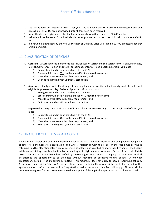- D. Your association will request a VHSL ID for you. You will need this ID to take the mandatory exam and rules clinic. VHSL ID's are not provided until all fees have been received.
- E. New officials who register after the deadlines shown above will be charged a \$25.00 late fee.
- F. Refunds will not be issued for individuals who attempt the exam or the rules clinic, with or without a VHSL ID.
- G. If a refund is authorized by the VHSL's Director of Officials, VHSL will retain a \$15.00 processing fee per official per sport.

## <span id="page-7-0"></span>11. CLASSIFICATION OF OFFICIALS

- A. **Certified** A Certified official may officiate regular season varsity and sub-varsity contests and, if selected, District, Conference, Region and State Tournament contests. To be a Certified official, you must:
	- 1) Be registered and in good standing with the VHSL;
	- 2) Score a minimum of 85% on the annual VHSL-required rules exam;
	- 3) Meet the annual state rules clinic requirement; and
	- 4) Be in good standing with your local association.
- B. **Approved** An Approved official may officiate regular season varsity and sub-varsity contests, but is not eligible for post-season play. To be an Approved official, you must:
	- 1) Be registered and in good standing with the VHSL;
	- 2) Score a minimum of  $75\%$  on the annual VHSL-required rules exam;
	- 3) Meet the annual state rules clinic requirement; and
	- 4) Be in good standing with your local association.
- C. **Registered** A Registered official may officiate sub-varsity contests only. To be a Registered official, you must:
	- 1) Be registered and in good standing with the VHSL;
	- 2) Score a minimum of 70% on the annual VHSL-required rules exam;
	- 3) Meet the annual state rules clinic requirement; and
	- 4) Be in good standing with your local association.

## <span id="page-7-1"></span>12. TRANSFER OFFICIALS – CATEGORY A

A Category A transfer official is an individual who has in the past 12 months been an official in good standing with another NFHS-member state association, and who is registering with the VHSL for the first time; or who is returning to VHSL officiating after a break in service of at least one year but no more than five years. The League will honor officiating records submitted by the sending state high school association. Records from local officials associations are not acceptable unless verified by the sending state association. Category A transfer officials shall be afforded the opportunity to be evaluated without requiring an excessive waiting period. A one-year probationary period is the maximum permitted. This maximum does not apply to new or beginning officials. Associations may register Category A transfer officials in July, or during the new officials' registration period for the applicable sport. After the new officials' registration period has ended, late fees will apply. No one will be permitted to register for the current year once the mid-point of the applicable sport's season has been reached.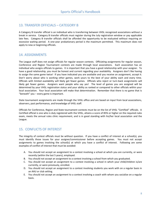## <span id="page-8-0"></span>13. TRANSFER OFFICIALS – CATEGORY B

A Category B transfer official is an individual who is transferring between VHSL recognized associations without a break in service. Category B transfer officials must register during the July registration window or pay applicable late fees. Category B transfer officials shall be afforded the opportunity to be evaluated without requiring an excessive waiting period. A one-year probationary period is the maximum permitted. This maximum does not apply to new or beginning officials.

## <span id="page-8-1"></span>14. ASSIGNMENTS

The League staff does not assign officials for regular season contests. Officiating assignments for regular season, Conference and Region Tournament contests are made through local associations. Each association has an individual who assigns officials to games. It is important that you have a good relationship with your assigner. To have a good relationship, you must be honest and current regarding your availability. Assigners don't like having to assign the same game twice! If you have indicated you are available and you receive an assignment, accept it. Don't worry about who is working other games, work yours to the best of your ability each and every time. Officials with limited availability will likely get fewer games. Officials who reject or turn-back assignments will likely get fewer games. Assigners want people who say yes! The level of games you are assigned will be determined by your VHSL registration status and your ability as ranked or compared to other officials within your local association. Your local association will make that determination. Remember that there is no game that is "beneath" you – every game is important.

State tournament assignments are made through the VHSL office and are based on input from local associations, observers, past performance, and knowledge of VHSL staff.

Officials for Conference, Region and State tournament contests must be on the list of VHSL "Certified" officials. A Certified official is one who is duly registered with the VHSL, attains a score of 85% or higher on the required rules exam, meets the annual rules clinic requirement, and is in good standing with his/her local association and the League.

## <span id="page-8-2"></span>15. CONFLICTS OF INTEREST

The integrity of contest officials must be without question. If you have a conflict of interest at a school(s), you must identify those issues for your assigner/commissioner before accepting games. You must not accept assignments to games involving the school(s) at which you have a conflict of interest. Following are some examples of conflict of interest that must be avoided:

- A. You should not accept an assignment to a contest involving a school at which you are currently, or were recently (within the last 5 years), employed.
- B. You should not accept an assignment to a contest involving a school from which you graduated.
- C. You should not accept an assignment to a contest involving a school in which your child/children is/are currently, or were previously, enrolled.
- D. You should not accept an assignment to a contest involving students you work with on a regular basis in an AAU or club setting.
- E. You should not accept an assignment to a contest involving a coach with whom you socialize on a regular basis.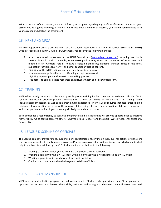Prior to the start of each season, you must inform your assigner regarding any conflicts of interest. If your assigner assigns you to a game involving a school at which you have a conflict of interest, you should communicate with your assigner and decline the assignment.

## <span id="page-9-0"></span>16. NFHS AND NFOA

All VHSL registered officials are members of the National Federation of State High School Association's (NFHS) Officials' Association (NFOA). As an NFOA member, you receive the following benefits:

- A. Access to educational content at the NFHS Central Hub [\(www.arbitersports.com\)](http://www.arbitersports.com/), including searchable NFHS Rule Books and Case Books; other NFHS publications; video and animation of NFHS rules and mechanics; an "Officials' Forum;" feature articles on officiating including archived issues of the NFHS publication "Officials Quarterly;" and other general officiating content.
- B. Eligibility for the NFHS national and state level awards programs.
- C. Insurance coverage for all levels of officiating except professional.
- D. Eligibility to participate in the NFHS rules-making process.
- <span id="page-9-1"></span>E. Free access to some selected resources on NFHSLearn.com and NFHSOfficials.com.

## 17. TRAINING

VHSL relies heavily on local associations to provide proper training for both new and experienced officials. VHSL requires that local associations provide a minimum of 10 hours of training for new officials. This training should include classroom sessions as well as game/scrimmage experience. The VHSL also requires that associations hold a minimum of four meetings per year for the purpose of discussing rules, mechanics, position, philosophy, situations, and other pertinent topics. A good meeting will likely last an hour or more.

Each official has a responsibility to seek out and participate in activities that will provide opportunities to improve his/her skills. Go to camps. Observe others. Study the rules. Understand the sport. Watch video. Ask questions. Be receptive.

## <span id="page-9-2"></span>18. LEAGUE DISCIPLINE OF OFFICIALS

The League can censure/reprimand, suspend, deny registration and/or fine an individual for actions or behaviors that are inconsistent with the League's mission and/or the profession of officiating. Actions for which an individual might be subject to discipline by the VHSL include but are not limited to the following:

- A. Working a game for which you do not have the proper certification level.
- B. Working a game involving a VHSL school with an individual who is not registered as a VHSL official.
- C. Working a game in which you have a clear conflict of interest.
- D. Conduct that is detrimental to the League or to fellow officials.

## <span id="page-9-3"></span>19. VHSL SPORTSMANSHIP RULE

VHSL athletic and activities programs are education-based. Students who participate in VHSL programs have opportunities to learn and develop those skills, attitudes and strength of character that will serve them well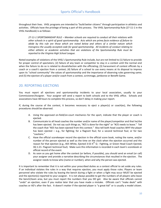throughout their lives. VHSL programs are intended to "build better citizens" through participation in athletics and activities. Officials have the privilege of being a part of this process. The VHSL Sportsmanship Rule (27-11-1 in the VHSL Handbook) is as follows:

*27-11-1 SPORTSMANSHIP RULE – Member schools are required to conduct all their relations with other schools in a spirit of good sportsmanship. Acts which are prima facie evidence of failure to abide by this rule are those which are noted below and others of a similar nature which transgress the usually accepted code for good sportsmanship. All incidents of conduct relating to either athletic or academic activities that are violations of the Sportsmanship Rule must be reported to the Virginia High School League.*

Noted examples of violations of the VHSL's Sportsmanship Rule include, but are not limited to (1) failure to provide for proper control of spectators; (2) failure of any team or competitor to stay in a contest until the normal end when the failure to do so is related to dissatisfaction with the officiating; (3) harassment of contest officials by a coach or a coach's ejection from a contest; (4) failure of a school to use every means at its disposal to impress upon its "school community" the values of sportsmanship and the importance of observing rules governing same; and (5) the ejection of a player and/or coach from a contest, scrimmage, jamboree or Benefit Game.

# <span id="page-10-0"></span>20. REPORTING EJECTIONS

You must report all ejections and sportsmanship incidents to your local association, usually to your Commissioner/Assigner. Your assigner will send a report to both schools and to the VHSL office. Schools and associations have 48 hours to complete this process, so don't delay in making your report.

If, during the course of the contest, it becomes necessary to eject a player(s) or coach(es), the following procedures should be observed.

- A. Using the approved on-field/on-court mechanics for the sport, indicate that the player or coach is ejected.
- B. Communicate to all head coaches the number and/or name of the player/competitor and that he/she has been ejected. Do not say such things as, "#25 is done for the night" or "#25 needs to leave." Tell the coach that "#25 has been ejected from this contest." Also tell both head coaches WHY the player has been ejected – e.g., for fighting; for a flagrant foul; for a second technical foul; or for two "cautions."
- C. Have the official scorekeeper record the ejection in the official score book, noting the name, and/or number of the person ejected as well as the time on the clock when the ejection occurred and the reason for that ejection (e.g., #25 White, Ejected 3:53  $4^{th}$  Q - Fighting, or Green Head Coach Ejected, 3Q 1:21- Flagrant technical foul). Make sure this information is recorded in each team's scorebook or official record of the event.
- D. As soon as you get home after the contest (or before, if possible), you should send an email (or call) your assigner and provide a narrative describing the circumstances that resulted in the ejection. The assigner needs to know who (name or number), when and why the person was ejected.

It is important to remember that it is not within your prescribed duties as a contest official to set aside any rules. If an individual violates the rules in a way that requires ejection, you must apply those rules. Players or team personnel who violate the rules by leaving the bench during a fight or when a fight may occur MUST be ejected and the ejection(s) reported to your assigner. It is not always possible to get the numbers of all players who leave the bench/team area, but you must report the numbers that you DO get. Also be aware that officials cannot "undo" an ejection, even if you realize later that you have made a mistake. Officials can't "make deals" with coaches or AD's after the fact. It doesn't matter if the ejected player is "a great kid" or is usually a model citizen.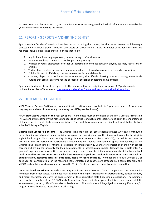ALL ejections must be reported to your commissioner or other designated individual. If you made a mistake, let your commissioner know that. Be honest.

# <span id="page-11-0"></span>21. REPORTING SPORTSMANSHIP "INCIDENTS"

Sportsmanship "incidents" are situations that can occur during the contest, but that more often occur following a contest and can involve players, coaches, spectators or school administrators. Examples of incidents that must be reported include, but are not limited to, those that follow:

- A. Any incident involving a spectator, before, during or after the contest.
- B. Incidents involving damage to school or personal property.
- C. Physical or verbal altercations or other unsportsmanlike conduct between players, coaches, spectators or officials.
- D. Verbal abuse by players, coaches, or spectators directed toward opposing teams, coaches, or officials.
- E. Public criticism of officials by coaches in news media or social media.
- F. Coaches, players or school administrators entering the officials' dressing area or standing immediately outside that area at any time for the purpose of criticizing or berating game officials.

Sportsmanship incidents must be reported by the school and by the assigning association. A "Sportsmanship Incident Report Form" is located at [http://www.vhsl.org/doc/upload/adm-sportsmanship-incident.docx.](http://www.vhsl.org/doc/upload/adm-sportsmanship-incident.docx)

# <span id="page-11-1"></span>22. OFFICIALS RECOGNITION

**VHSL Years of Service Certificates** – Years of Service certificates are available in 5-year increments. Associations may request such certificates at any time using the VHSL-provided form(s).

**NFOA State Active Official of the Year** (by sport) – Candidates must be members of the NFHS Officials Association (NFOA) and must exemplify the highest standards of ethical conduct, moral character and carry the endorsement of their respective state high school association. They shall have made a recent significant contribution to high school officiating in Virginia.

**Virginia High School Hall of Fame** – The Virginia High School Hall of Fame recognizes those who have contributed in outstanding ways to athletic and activities programs serving Virginia's youth. Sponsored jointly by the Virginia High School League (VHSL) and the Virginia High School Coaches Association (VHSCA), the hall is dedicated to preserving the rich heritage of outstanding achievements by students and adults in sports and activities within Virginia's public high schools. Athletes are eligible for consideration 10 years after completion of their high school careers and are judged primarily for their achievements in interscholastic sports. Coaches are eligible after 15 years of experience or upon retirement and are judged on the merits of their achievements at the high school level. **Contributors are professionals who have rendered significant services in some other capacity such as administration, academic activities, officiating, media or sports medicine.** Nominations are due October 31 of each year for consideration for the following year. Athletes and coaches are screened by a committee from the VHSCA and contributors by a committee from the VHSL. Final selections are made by a joint committee.

**NFOA National Contributor** – Each state may nominate one CONTRIBUTOR to compete for the honor with nominees from other states. Nominees must exemplify the highest standards of sportsmanship, ethical conduct, and moral character, and carry the endorsement of their respective state high school association. The nominee need not be a member of the NFHS Officials Association. Some typical categories for this recognition are athletic administrators, writers, official's association leaders, etc. All candidates will be judged on their significant and/or long-term contribution to interscholastic officiating.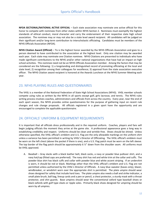**NFOA SECTIONAL/NATIONAL ACTIVE OFFICIAL** – Each state association may nominate one active official for this honor to compete with nominees from other states within NFHS Section 2. Nominees must exemplify the highest standards of ethical conduct, moral character and carry the endorsement of their respective state high school association. The nominee may or may not also be a state level award recipient. All candidates will be judged on their significant and/or long-term contribution to interscholastic officiating. Candidates must be members of the NFHS Officials Association (NFOA).

**NFHS Citation Award (Official)** – Tis is the highest honor awarded by the NFHS Officials Association and goes to a person deemed to have contributed to the association at the highest level. Only one citation may be awarded each year. Each state may nominate one Citation nominee. NFHS Citations are presented to individuals who have made significant contributions to the NFHS and/or other national organizations that have had an impact on high school activities. This nominee need not be an NFHS Officials Association member. Among the factors that may be considered are the following: 1) a longstanding and distinguished record of promoting officiating at the local and state level; 2) recognition among their colleagues for excellence; 3) approval from the state association executive officer. The NFHS Citation award recipient is honored at the Awards Luncheon at the NFHS Summer Meeting each year.

# <span id="page-12-0"></span>23. NFHS PLAYING RULES AND QUESTIONNAIRES

The VHSL is a member of the National Federation of State High School Associations (NFHS). VHSL member schools compete using rules as written by the NFHS in all sports except golf, girls lacrosse, and tennis. The NFHS rules writing process involves coaches, administrators and officials from across the country. Every year, near the end of each sport season, the NFHS provides online questionnaires for the purpose of gathering input on recent rule changes and rule change proposals. All officials registered in a given sport have the opportunity and are encouraged to complete the applicable questionnaire.

## <span id="page-12-1"></span>24. OFFICIALS' UNIFORM & EQUIPMENT REQUIREMENTS

It is important that all officials dress professionally and in the required uniform. Coaches, players and fans will begin judging officials the moment they arrive at the game site. A professional appearance goes a long way in establishing credibility and respect. Uniforms should be clean and wrinkle-free. Shoes should be shined. Unless otherwise specified, the VHSL official's emblem and U.S. Flag are the only allowable markings on the uniform shirt unless a variance has been permitted in writing by VHSL's Director of Officiating. The VHSL official's emblem must be worn on the left chest (above the pocket if there is one), and a U.S. Flag patch must be worn on the left sleeve. The top border of the flag patch should be approximately 6 ½" down from the shoulder seam. All uniforms must be VHSL approved.

A. Baseball – Gray slacks with a black leather belt, black socks, a navy or powder blue pullover shirt, and a navy hat/cap (fitted caps are preferred). The navy shirt has red and white trim at the collar and cuffs. The powder blue shirt has black cuffs and collar with powder blue and white accent striping. If an undershirt is worn, it should be red or black. Markings other than the VHSL official's emblem and U.S. Flag are not permitted unless authorized by the VHSL's Director of Officials. A navy blue sweater (bases only), blazer, windbreaker, or windshirt worn over the appropriate shirt is permitted. The plate umpire should wear shoes designed for safety that include hard toes. The plate umpire also needs a ball and strike indicator, a small plate brush, ball bag, lineup cards and a pen or pencil, a chest protector, a sturdy mask with a throat protector, and shin guards. Base umpires should wear the conventional oxford type baseball shoes or black oxfords with golf type cleats or ripple soles. Primarily black shoes designed for umpiring should be worn by all umpires.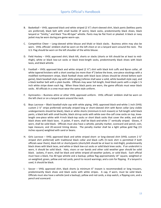- B. Basketball VHSL approved black and white striped (2 ¼") short-sleeved shirt, black pants (beltless pants are preferred), black belt with small buckle (if worn), black socks, predominantly black shoes, black lanyard or "Smitty," and black "Fox-40-type" whistle. Pants may be flat front or pleated. A black or navy jacket may be worn during pre-game warm-ups.
- C. Competitive Cheer Long-sleeved white blouse and khaki or black slacks. Business attire may also be worn. VHSL officials' emblem shall be worn on the left chest or on a lanyard worn around the neck. The U.S. Flag should be worn on the left shoulder of the white blouse.
- D. Field Hockey VHSL approved shirt; black kilt, shorts or slacks (shorts or kilt should be at least to midthigh), white or black low-cut socks or black knee-length socks, predominantly black shoes with black laces, and black whistle.
- E. Football VHSL approved black and white striped  $(2 \frac{1}{4})$  shirt with black knit cuffs and Byron collar, all white tapered knickers with a short overlap (no more than 4") below the knee, one-piece stockings with a modified northwestern stripe, black football shoes with black laces (shoes should be shined before each game), black baseball-style cap with white piping (referee shall wear a solid, white baseball-style cap), and a black leather belt with a plain buckle. Officials may wear full-length, lined black pants with a single 1 ¼ inch white stripe down each leg. When these black pants are worn, the game officials must wear black socks. All officials in a crew must wear the same style uniform.
- F. Gymnastics Business attire or other VHSL approved uniform. VHSL officials' emblem shall be worn on the left chest or on a lanyard worn around the neck.
- G. Boys Lacrosse Black baseball-style cap with white piping, VHSL approved black-and-white 1 inch (VHSL custom 2 ¼" stripe preferred) vertically striped long or short-sleeved shirt with Byron collar (any visible undergarments should be black), black or white shorts (minimum 6-inch inseam) or full-length solid black pants, a black belt with small buckle, black stirrup socks with white over-the-calf crew socks on top, kneelength one-piece white with 4-inch black-top socks or short black socks that cover the ankle, and solid black shoes with black laces. A jacket, if worn, shall be black-and-white 1" vertically striped. Gloves, if worn, shall be solid black. Officials must also have a whistle, penalty marker, scorecard and pencil, coin, tape measure, and 20-second timing device. The penalty marker shall be a light yellow gold flag (15 inches square) weighted with sand or beans.
- H. Girls Lacrosse VHSL approved black and white striped short- or long-sleeved shirt (VHSL custom 2 ¼" striped shirt preferred) with traditional black collar and black cuffs (V-neck shirt is permitted if both officials wear them), black kilt or shorts/pants (shorts/kilt should be at least to mid-thigh), predominantly black shoes with black laces, and white or black low-cut socks or solid black knee socks. If an undershirt is worn, it should be solid black. Hats, visors or ear bands and other cold weather gear should be solid black. Jackets, if worn, shall be black and white striped all-weather jackets, or solid black. Each official must have a black, Fox 40 type whistle and a backup; yellow flag approximately 14" square, weighted or un-weighted; green, yellow and red cards; pencil to record warnings; and a coin for flipping. If a lanyard is used, it should be black.
- I. Soccer VHSL approved shirt, black shorts (a minimum 6" inseam is recommended) or long trousers, predominantly black shoes and black socks with white stripes. A cap, if worn, must be solid black. Officials must also have a whistle (and a backup), yellow and red cards, a stop watch, a flipping coin, and a pencil and scorecard.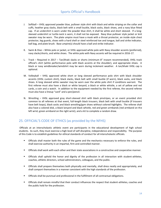- J. Softball VHSL approved powder blue, pullover style shirt with black and white striping on the collar and cuffs, heather gray slacks, black belt with a small buckle, black socks, black shoes, and a navy blue fitted cap. If an undershirt is worn under the powder blue shirt, it shall be white and short sleeved. If a longsleeved undershirt or turtle-neck is worn, it shall not be exposed. Navy blue pullover style jacket or knit sweater may be worn. The plate umpire must have a mask with a throat protector, an inside-style chest protector, leg guards, shoes with a hard shell or steel reinforced toe and tongue, ball and strike indicator, ball bag, and plate brush. Base umpire(s) should have a ball and strike indicator.
- K. Swim & Dive White polo or jacket, or VHSL approved white polo with Navy shoulder accents (preferred), navy slacks/shorts, and white shoes. The white polo with Navy accents will be required in 2016-17.
- L. Track Required in 2017 Tan/khaki slacks or shorts (minimum 8" inseam recommended), VHSL track official's shirt (white performance polo with black accents at the shoulder), and appropriate shoes. A black or navy windbreaker/windshirt may be worn during inclement weather. A tan/khaki VHSL cap is optional.
- M. Volleyball VHSL approved white short or long sleeved performance polo shirt with black shoulder accents (VHSL custom shirt), black slacks, black belt with small buckle (if worn), black socks, and black shoes. A long sleeved white sweater may be worn over the white polo shirt if conditions warrant. The first referee must also have a black or white lanyard, a black or white whistle, a set of yellow and red cards, a coin and a watch. In addition to the equipment needed by the first referee, the second referee must also have a lineup "card" and a pen/pencil.
- N. Wrestling VHSL approved gray short-sleeved shirt with black pinstripes, or an event provided shirt common to all referees at that event, full-length black trousers, black belt with small buckle (if trousers have belt loops), black socks and black wrestling/gym shoes without colored highlights. The referee shall also have a colored disk, a black lanyard and black whistle, red and green armbands (red armband on the left wrist; green armband on the right wrist), and a kit to complete a random draw.

# <span id="page-14-0"></span>25. OFFICIAL'S CODE OF ETHICS (as provided by the NFHS)

Officials at an interscholastic athletic event are participants in the educational development of high school students. As such, they must exercise a high level of self-discipline, independence and responsibility. The purpose of this Code is to establish guidelines for ethical standards of conduct for all interscholastic officials.

- Officials shall master both the rules of the game and the mechanics necessary to enforce the rules, and shall exercise authority in an impartial, firm and controlled manner.
- Officials shall work with each other and their state associations in a constructive and cooperative manner.
- Officials shall uphold the honor and dignity of the profession in all interaction with student-athletes, coaches, athletic directors, school administrators, colleagues, and the public.
- Officials shall prepare themselves both physically and mentally, shall dress neatly and appropriately, and shall comport themselves in a manner consistent with the high standards of the profession.
- Officials shall be punctual and professional in the fulfillment of all contractual obligations.
- Officials shall remain mindful that their conduct influences the respect that student-athletes, coaches and the public hold for the profession.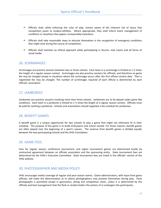- Officials shall, while enforcing the rules of play, remain aware of the inherent risk of injury that competition poses to student-athletes. Where appropriate, they shall inform event management of conditions or situations that appear unreasonably hazardous.
- Officials shall take reasonable steps to educate themselves in the recognition of emergency conditions that might arise during the course of competition.
- Officials shall maintain an ethical approach while participating in forums, chat rooms and all forms of social media.

## <span id="page-15-0"></span>26. SCRIMMAGES

Scrimmages are practice sessions between two or three schools. Each team in a scrimmage is limited to 1 ½ times the length of a regular season contest. Scrimmages are also practice sessions for officials, and therefore no game fee may be charged except in situations where the scrimmage occurs after the first official contest date. Then a negotiated fee may be charged. The number of scrimmages required of each official is determined by each officials' association.

## <span id="page-15-1"></span>27. JAMBOREES

Jamborees are practice sessions involving more than three schools. Jamborees are to be played under game-like conditions. Each team in a jamboree is limited to 1  $\frac{1}{2}$  times the length of a regular season contest. Officials must be paid for working a jamboree. Schools and associations should negotiate a fee schedule for jamborees.

## <span id="page-15-2"></span>28. BENEFIT GAMES

A benefit game is a unique opportunity for two schools to play a game that might not otherwise fit in their schedule. The purpose of the game is to build enthusiasm and school morale. For those reasons, benefit games are often played near the beginning of a sport's season. The revenue from benefit games is divided equally between the two participating schools and the VHSL Foundation.

### <span id="page-15-3"></span>29. GAME FEES

Fees for regular season, conference tournament, and region tournament games are determined locally by contractual agreement between an officials association and the sponsoring entity. State tournament fees are determined by the VHSL's Executive Committee. State tournament fees are listed in the officials' section of the VHSL website.

## <span id="page-15-4"></span>30. PHOTOGRAPHER AND MEDIA POLICY

VHSL encourages media coverage of regular and post-season events. Game administrators, with input from game officials, will make the determination as to where photographers may position themselves during play. Flash photography is permitted except in gymnastics, diving and competition cheer, unless it is determined by the officials and host management that the flash or strobe hinders the actions of or endangers the participants.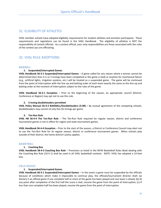## <span id="page-16-0"></span>31. ELIGIBILITY OF ATHLETES

VHSL member schools have adopted eligibility requirements for student-athletes and activities participants. These requirements and regulations can be found in the VHSL Handbook. The eligibility of athletes is NOT the responsibility of contest officials. As a contest official, your only responsibilities are those associated with the rules of the contest you are officiating.

# <span id="page-16-1"></span>32. VHSL RULE ADOPTIONS

#### <span id="page-16-2"></span>BASEBALL

#### **1. Suspended/Interrupted Games**

**VHSL Handbook 56-3-1 Suspended/Interrupted Games** – A game called for any reason where a winner cannot be determined (less than 4 ½ or 5 innings have been completed or the game is tied) or anytime for mechanical failure (e.g., artificial lights, irrigation systems, etc.) will be treated as a suspended game. The game will be continued from the point of interruption with the line-up and batting order of each team exactly the same as the line-up and batting order at the moment of interruption subject to the rules of the game.

**VHSL Handbook 56-3-1 Exception** – Prior to the beginning of the season, an appropriate council (District, Conference or Region) may opt not to use this rule.

#### **2. 5-inning doubleheaders permitted**

**VHSL Policy Manual 56-4-3 BASEBALL/Doubleheaders (5-00) – By mutual agreement of the competing schools,** doubleheaders may consist of only five (5) innings per game.

#### **3. Ten-Run Rule**

**VHSL HB 56-4-4 The Ten-Run Rule** – The Ten-Run Rule required for regular season, district and conference tournament games is not in effect for region and state tournament games.

**VHSL Handbook 56-4-4 Exception** – Prior to the start of the season, a District or Conference Council may elect not to use the Ten-Run Rule for its regular season, district or conference tournament games. When schools play outside of their district, the home district's policy applies.

#### <span id="page-16-3"></span>BASKETBALL

#### **1. Coaching Box**

**VHSL Handbook 58-4-2 Coaching Box Rule** – Provisions as listed in the NFHS Basketball Rules Book dealing with the Coaching Box Rule (10-5-1) shall be used in all VHSL basketball contests. NOTE: VHSL has adopted a 14-foot box.

#### <span id="page-16-4"></span>FIELD HOCKEY

#### **1. Suspended/Interrupted Games**

**VHSL Handbook 66-3-1 Suspended/Interrupted Games** – In the event a game must be suspended by the officials because of conditions which make it impossible to continue play, the officials/tournament director shall: (a) Declare it an official game if one complete half or more of the game has been played and one team is ahead; (b) At any point after completion of the first half the score is tied, resume the game from the point of interruption; (c) If less than one complete half has been played, resume the game from the point of interruption.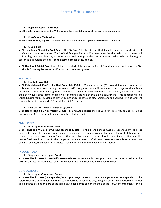#### **2. Regular Season Tie-Breaker**

See the field hockey page on the VHSL website for a printable copy of the overtime procedure.

#### **3. Post-Season Tie-Breaker**

See the Field Hockey page on the VHSL website for a printable copy of the overtime procedure.

#### **4. 6-Goal Rule**

**VHSL Handbook 66-4-4 Six-Goal Rule** – The Six-Goal Rule shall be in effect for all regular season, district and conference tournament games. The Six-Goal Rule provides that if, at any time after the mid-point of the second half of play, one team leads by six (6) or more goals, the game shall be terminated. When schools play regular season games outside their district, the home district's policy applies.

**VHSL Handbook 66-4-4 Exception** – Prior to the start of the season, a District Council may elect not to use the Six-Goal Rule for its regular season and/or district tournament games.

#### <span id="page-17-0"></span>FOOTBALL

#### **1. Football Point Rule**

**VHSL Policy Manual 68-4-1(1) Football Point Rule (3-06)** – When a thirty-five (35) point differential is reached at half-time or at any point during the second half, the game clock will continue to run anytime there is an incomplete pass or the runner goes out of bounds. Should the point differential subsequently be reduced to less than thirty-five points, game officials will discontinue the use of this timing adjustment. This adoption will be utilized during regular season and playoff games and at all levels of play (varsity and sub-varsity). This adjustment may not be utilized when NFHS Football Rule 3-1-3 is in effect.

#### **2. Non-Varsity Games – Length of Quarters**

**VHSL Handbook 68-4-3 Non-Varsity Games** – Ten-minute quarters shall be used for sub-varsity games. For gmes involving only  $8<sup>th</sup>$  graders, eight-minute quarters shall be used.

#### <span id="page-17-1"></span>**GYMNASTICS**

#### **1. Interrupted/Suspended Meets**

**VHSL Handbook 74-3-1 Interrupted/Suspended Meets** – In the event a meet must be suspended by the Meet Referee because of conditions which make it impossible to continue competition on that day, if all teams have completed at least two "common" events (the same two events), the meet will be considered official and the results final based on scores in the completed common events. If all teams have NOT completed at least two common events, the meet, if rescheduled, shall be resumed from the point of interruption.

#### <span id="page-17-2"></span>INDOOR TRACK

#### **1. Suspended/Interrupted Event**

**VHSL Handbook 76-3-1 Suspended/Interrupted Event** – Suspended/interrupted meets shall be resumed from the point of the last completed heat unless the schools involved agree not to continue the event.

#### <span id="page-17-3"></span>BOYS LACROSSE

#### **1. Interrupted/Suspended Games**

**VHSL Handbook 77-3-1 (2) Suspended/Interrupted Boys Games** – In the event a game must be suspended by the referee because of conditions which make it impossible to continue play, the game shall: (a) Be declared an official game if three periods or more of the game have been played and one team is ahead; (b) After completion of three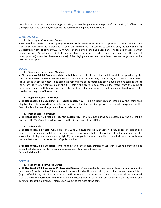periods or more of the game and the game is tied, resume the game from the point of interruption; (c) If less than three periods have been played, resume the game from the point of interruption.

#### <span id="page-18-0"></span>GIRLS LACROSSE

#### **1. Interrupted/Suspended Games**

**VHSL Handbook 77-3-1(1) Interrupted/Suspended Girls Games** – In the event a post season tournament game must be suspended by the referee due to conditions which make it impossible to continue play, the game shall: (a) Be declared an official game if 80% (40 minutes) of the playing time has elapsed and one team is ahead; (b) After completion of 80% (40 minutes) of the playing time, the score is tied, resume the game from the oint of interruption; (c) If less than 80% (40 minutes) of the playing time has been completed, resume the game from the point of interruption.

#### <span id="page-18-1"></span>**SOCCER**

#### **1. Suspended/Interrupted Matches**

**VHSL Handbook 78-3-1 Suspended/Interrupted Matches** – In the event a match must be suspended by the officials because of conditions which make it impossible to continue play, the officials/tournament director shall: (a) Declare it an official match if one complete half or more of the match has been played and one team is ahead; (b) At any point after completion of the first half if the score is tied, resume the match from the point of interruption unless both teams agree to the tie; (c) If less than one complete half has been played, resume the match from the point of interruption.

#### **2. Regular Season Tie-Breaker**

**VHSL Handbook 78-4-2 Breaking Ties, Regular Season Play** – If a tie exists in regular season play, the teams shall play two five-minute overtime periods. At the end of the first overtime period, teams shall change ends of the field. If a tie still exists, the game shall be recorded as a tie.

#### **3. Post-Season Tie-Breaker**

**VHSL Handbook 78-4-3 Breaking Ties, Post-Season Play** – If a tie exists during post-season play, the tie shall be broken by the Tie-Game Procedure posted on the Soccer page of the VHSL website.

#### **4. 8-Goal Rule**

**VHSL Handbook 78-4-4 Eight-Goal Rule** – The Eight-Goal Rule shall be in effect for all regular season, district and conference tournament matches. The Eight-Goal Rule provides that if, at any time after the mid-point of the second half of play, one team leads by eight (8) or more goals, the match shall be terminated. When schools play outside their district, the home district's policy applies.

**VHSL Handbook 78-4-4 Exception** – Prior to the start of the season, District or Conference Councils may elect not to use the Eight-Goal Rule for its regular season and/or tournament matches. Suspended Game Rule

#### <span id="page-18-2"></span>**SOFTBALL**

#### **1. Suspended/Interrupted Games**

**VHSL Handbook 79-3-1 Suspended/Interrupted Games** – A game called for any reason where a winner cannot be determined (less than 4 ½ or 5 innings have been completed or the game is tied) or any time for mechanical failure (e.g., artificial lights, irrigation systems, etc.) will be treated as a suspended game. The game will be continued from the point of interruption with the line-up and batting order of each team exactly the same as the line-up and batting order at the moment of interruption subject to the rules of the game.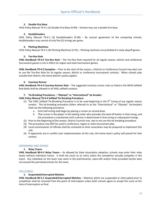#### **2. Double First Base**

VHSL Policy Manual 79-4-1 (2) Double First Base (9-99) – Schools may use a double first base.

#### **3. Doubleheaders**

VHSL Policy Manual 79-4-1 (3) Doubleheaders (5-00) – By mutual agreement of the competing schools, doubleheaders may consist of only five (5) innings per game.

#### **4. Pitching Machines**

VHSL Policy Manual 79-4-1 (4) Pitching Machines (2-91) – Pitching machines are prohibited in state playoff games.

#### **5. Ten-Run Rule**

**VHSL Handbook 79-4-2 Ten-Run Rule** – The Ten-Run Rule required for all regular season, district and conference tournament games is not in effect for region and state tournament games.

**VHSL Handbook 79-4-2 Exception** – Prior to the start of the season, a District or Conference Council may elect not to use the Ten-Run Rule for its regular season, district or conference tournament contests. When schools play outside their district, the home district's policy applies.

#### **6. Courtesy Runner**

**VHSL Handbook 79-4-3 Courtesy Runner Rule** – The suggested courtesy runner rules as listed in the NFHS Softball Rule Book shall be allowed in all VHSL softball contests.

#### **7. Tie-Breaking Procedures – "Olympic" or "International" tie-breaker**

#### **VHSL Policy Manual 79-4-4 Softball Tie-Breaking Procedure:**

- (1) The VHSL Softball Tie-Breaking Procedure is to be used beginning in the  $9<sup>th</sup>$  inning of any regular season contest. The tie-breaking procedure (often referred to as the "International" or "Olympic" tie-breaker) shall use the following procedure:
	- a. Each half-inning shall begin by placing a runner on second base.
	- b. That runner is the player in the batting order who precedes the lead-off batter in that inning, and this procedure is maintained until a winner is determined in that inning or subsequent innings.
- (2) Prior to the beginning of the season, District Councils may opt to not use this tie-breaking procedure.
- (3) This procedure may NOT be used in conference, region or state tournament play.
- (4) Local commissioner of officials shall be contacted so their association may be prepared to implement this rule.
- (5) If opponents are in conflict over implementation of this rule, the home team's policy will prevail for that contest.

#### <span id="page-19-0"></span>SWIMMING AND DIVING

#### **1. Relay Teams**

**VHSL Handbook 80-4-2 Relay Teams** – As allowed by State Association adoption, schools may enter their relay teams without individual names. It shall not count as an entry unless the competitor actually competes in the event. Any individual on the team may swim in the preliminaries, swim-offs and/or finals provided he/she does not exceed the permitted entries for the meet.

#### <span id="page-19-1"></span>VOLLEYBALL

#### **1. Suspended/Interrupted Matches**

**VHSL Handbook 86-3-1 Suspended/Interrupted Matches** – Matches which are suspended or interrupted prior to completion shall be resumed from the point of interruption unless both schools agree to accept the score at the time of interruption as final.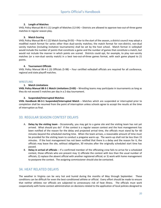#### **2. Length of Matches**

VHSL Policy Manual 86-4-1 (1) Length of Matches (12-04) – Districts are allowed to approve two-out-of-three game matches in regular season play.

#### **3. Match Scoring**

VHSL Policy Manual 86-4-1 (2) Match Scoring (9-03) – Prior to the start of the season, a district council may adopt a modified match format for series other than dual-varsity matches; the match format for non-district, non-dual varsity matches (including invitation tournaments) shall be set by the host school. Match format in volleyball would include the number of points that constitute a game and the number of games that constitute a match, but would not include the manner in which points are scored. Districts could opt, for example, to play non-varsity matches (or a non-dual varsity match) in a best two-out-of-three games format, with each game played to 21 points.

#### **4. Tournament Officials**

VHSL Policy Manual 86-4-1 (3) Officials (5-98) – Four certified volleyball officials are required for all conference, regional and state playoff matches.

#### <span id="page-20-0"></span>**WRESTLING**

#### **1. Match Limitations**

**VHSL Policy Manual 88-3-1 Match Limitations (3-83)** – Wrestling teams may participate in tournaments as long as they do not exceed 5 matches per day in a 2-day tournament.

#### **2. Suspended/Interrupted Matches**

**VHSL Handbook 88-3-1 Suspended/Interrupted Match** – Matches which are suspended or interrupted prior to completion shall be resumed from the point of interruption unless schools agree to accept the results at the time of interruption as final.

## <span id="page-20-1"></span>33. REGULAR SEASON CONTEST DELAYS

- A. **Delay by the visiting team** Occasionally, you may get to a game site and the visiting team has not yet arrived. What should you do? If the contest is a regular season contest and the host management has been notified of the reason for the delay and projected arrival time, the officials must stand by for 60 minutes beyond the scheduled starting time. When the team arrives, a reasonable amount of time must be provided for the visiting team to conduct a pregame warm-up. The warm-up shall not be less than 15 minutes. If the host management has not been notified that there is a delay and the reason for it, the officials may leave the site, without obligation, 30 minutes after the originally scheduled start time has passed.
- B. **Delay in arrival of officials** If a confirmed member of the officiating crew fails to arrive for a scheduled contest, those officials who are present may 1) officiate the contest with less than the usual number of officials; 2) replace the absent official with another registered official; or 3) work with home management to postpone the contest. The assigning commissioner should also be contacted.

## <span id="page-20-2"></span>34. HEAT RELATED DELAYS

The weather in Virginia can be very hot and humid during the months of May through September. These conditions can be difficult for even the best-conditioned athlete or official. Every effort should be made to ensure that neither athletes nor officials are subjected to unnecessary risk of heat illness. The officials must work cooperatively with home contest administration on decisions related to the application of local policies designed to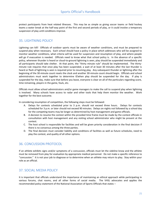protect participants from heat related illnesses. This may be as simple as giving soccer teams or field hockey teams a water break at the half-way point of the first and second periods of play, or it could involve a temporary suspension of play until conditions improve.

## <span id="page-21-0"></span>35. LIGHTNING POLICY

Lightning can kill! Officials of outdoor sports must be aware of weather conditions, and must be prepared to suspend play when necessary. Each school should have a policy in place which addresses who will be assigned to monitor weather conditions, what criteria will be used for suspension and resumption of play, and where people will go if evacuation is needed. Officials need to know what that school policy is. In the absence of a specific policy, whenever thunder is heard or cloud-to-ground lightning is seen, play should be suspended immediately and all participants should take shelter. At that point, the "thirty minute rule" should be implemented. The thirtyminute rule requires that once play has been suspended, a wait of at least 30 minutes after the last thunder is heard or flash of lightning is seen is required prior to resuming play. Any subsequent thunder or lightning after the beginning of the 30-minute count resets the clock and another 30-minute count should begin. Officials and school administrators must work together to determine if/when play should be suspended for the day. If play is suspended for the day, make sure that before you leave, everyone is clear on all of the particulars regarding score, time remaining, players in the game, fouls, etc.

Officials must allow school administrators and/or game managers to make the call to suspend play when lightning is involved. Many schools have access to radar and other tools that help them monitor the weather. Work together for the best outcome.

In considering resumption of competition, the following steps must be followed:

- A. Delays for contests scheduled prior to 3 p.m. should not exceed three hours. Delays for contests scheduled for 3 p.m. or later should not exceed 90 minutes. Delays on nights not followed by a school day for the competing teams may be longer as determined by host management and game officials.
- B. A decision to resume the contest within the provided time frame must be made by the contest officials in consultation with host management and any visiting school administrator who might be present at the contest.
- C. The host school is responsible for facilities and will be given priority consideration in the final decision if there is no consensus among the three parties.
- D. The final decision must consider liability and conditions of facilities as well as future schedules, need to play the contest, and quality of all other options.

## <span id="page-21-1"></span>36. CONCUSSION PROTOCOL

If an athlete exhibits signs and/or symptoms of a concussion, officials must let the sideline know and the athlete must be removed from play for evaluation by appropriate medical personnel. Do not make a specific reference to "concussion." It is not your job to diagnose or to determine when an athlete may return to play. Stay within your role as an official.

## <span id="page-21-2"></span>37. SOCIAL MEDIA POLICY

It is important that officials understand the importance of maintaining an ethical approach while participating in various forums, chat rooms, and all other forms of social media. The VHSL advocates and applies the recommended policy statement of the National Association of Sports Officials that states –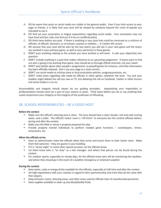- A. DO be aware that posts on social media are visible to the general public. Even if you limit access to your page to friends, it is likely that your post will be viewed by someone beyond the circle of people you intended to see it.
- B. DO find out your association or league expectations regarding social media. Your association may not have hard and fast rules, but find out if it has an unofficial policy.
- C. DO think twice before you post. If there is anything in your post that could be construed as a criticism of officials, of officials' decisions, or of schools, coaches or athletes … it's better left unsent.
- D. DO assume that your post will be seen by the two teams you will see in your next game and the teams you worked in your previous game, as well as your partner(s) in those games.
- E. DON'T post anything relating to the schools you have worked or will work. It calls your objectivity into question.
- F. DON'T include anything in a post that makes reference to an upcoming assignment. If teams want to find out who is going to be working their game, they should do so through official channels, not your tweet.
- G. DON'T post details about other people's assignments, to playoff games for instance, until that information has been officially released. Don't use your page as a news service.
- H. DON'T use social media to criticize state or local association policies, assigning practices, etc.
- I. DON'T make posts regarding calls made by officials in other games, whatever the level. You and your buddies might debate the call you saw on TV, but debating the call on Facebook, Twitter or other forums and social media is a no-no.

Accountability and integrity should always be our guiding principles. Jeopardizing your impartiality or professionalism should never be a part of your actions or posts. Think twice before you do or say anything that could compromise your integrity or the integrity of the profession of officiating.

# <span id="page-22-0"></span>38. SCHOOL RESPONSIBILITIES – BE A GOOD HOST

#### **Before the contest**

- Make sure the official's dressing area is clean. The area should have a clean shower, hot and cold running water, and a toilet. The official's locker room is "off limits" to everyone but the contest officials before, during and after the contest.
- **Make sure the field or venue is properly prepared for play.**
- **Provide properly trained individuals to perform needed game functions scorekeepers, timers,** announcers, etc.

#### **When the officials arrive**

- Have an administrator meet the officials when they arrive and escort them to their locker room. Make them feel welcome – they are guests in your building.
- **If it is "senior night" or some other special occasion, let the officials know.**
- Let them know who is "on duty" as a site manager, and where that person can be found during the contest.
- **For outdoor sports, especially on cloudy days, let the officials know who will be monitoring the weather,** and where they should go in the event of a weather emergency or inclement weather.

#### **During the contest**

- Have water, soda or energy drinks available for the officials, especially at half-time and after the contest.
- **Set high expectations with your coaches in regard to their sportsmanship and insist they do the same with** their players.
- **EXECT ADDET THE INTE ARK IS CONST ARK** EXECT A Lepton areas used by officials clear of unauthorized personnel.
- Have supplies available to clean up any blood/bodily fluids.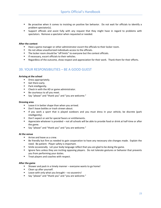- Be proactive when it comes to insisting on positive fan behavior. Do not wait for officials to identify a problem spectator(s).
- Support officials and assist fully with any request that they might have in regard to problems with spectators. Remove a spectator when requested or needed.

#### **After the contest**

- **Have a game manager or other administrator escort the officials to their locker room.**
- Do not allow unauthorized individuals access to the officials.
- The locker room should be "off limits" to everyone but the contest officials.
- **If necessary, escort officials to their vehicles.**
- **Regardless of the outcome, show respect and appreciation for their work. Thank them for their efforts.**

## <span id="page-23-0"></span>39. YOUR RESPONSIBILITIES – BE A GOOD GUEST

#### **Arriving at the school**

- **•** Dress appropriately.
- Get there early.
- **Park intelligently.**
- Check in with the AD or game administrator.
- Be courteous to all you meet.
- Say "please" and "thank you" and "you are welcome."

#### **Dressing area**

- **Leave it in better shape than when you arrived.**
- Don't leave bottles or trash strewn about.
- If you work a sport that is played outdoors and you must dress in your vehicle, be discrete (park intelligently).
- Don't expect or ask for special favors or entitlements.
- Appreciate whatever is provided not all schools will be able to provide food or drink at half-time or after the game.
- Say "please" and "thank you" and "you are welcome."

#### **At the venue**

- Arrive and leave as a crew.
- Be friendly but firm as needed to gain cooperation to have any necessary site changes made. Explain the need. Be patient. Player safety is important.
- Smile occasionally. Let your body language reflect that you are glad to be doing the game.
- **Ignore fans unless they are inciting opposing players. Do not tolerate gestures or behavior that prevents** you from performing your duties.
- **Treat players and coaches with respect.**

#### **After the game**

- Shower and pack in a timely manner everyone wants to go home!
- **Clean up after yourself.**
- $\blacksquare$  Leave with only what you brought no souvenirs!
- Say "please" and "thank you" and "you are welcome."